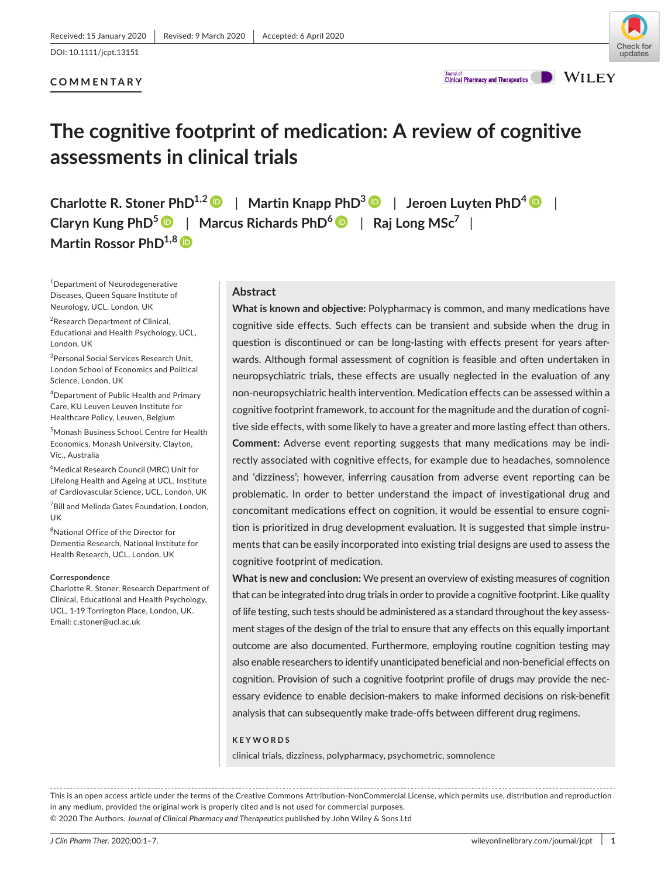### **COMMENTARY**



**Clinical Pharmacy and Therapeutics** 

**WILEY** 

# **The cognitive footprint of medication: A review of cognitive assessments in clinical trials**

**Charlotte R. Stoner PhD1,[2](https://orcid.org/0000-0002-1536-4347)** | **Martin Knapp PhD[3](https://orcid.org/0000-0003-1427-0215)** | **Jeroen Luyten PhD<sup>4</sup>** | **Claryn Kung PhD[5](http://orcid.org/0000-0003-2863-9423)** | **Marcus Richards PhD<sup>6</sup>** | **Raj Long MSc<sup>7</sup>** | **Martin Rossor PhD1,[8](https://orcid.org/0000-0001-8215-3120)**

1 Department of Neurodegenerative Diseases, Queen Square Institute of Neurology, UCL, London, UK

<sup>2</sup>Research Department of Clinical, Educational and Health Psychology, UCL, London, UK

3 Personal Social Services Research Unit, London School of Economics and Political Science, London, UK

4 Department of Public Health and Primary Care, KU Leuven Leuven Institute for Healthcare Policy, Leuven, Belgium

5 Monash Business School, Centre for Health Economics, Monash University, Clayton, Vic., Australia

6 Medical Research Council (MRC) Unit for Lifelong Health and Ageing at UCL, Institute of Cardiovascular Science, UCL, London, UK

7 Bill and Melinda Gates Foundation, London, UK

8 National Office of the Director for Dementia Research, National Institute for Health Research, UCL, London, UK

#### **Correspondence**

Charlotte R. Stoner, Research Department of Clinical, Educational and Health Psychology, UCL, 1-19 Torrington Place, London, UK. Email: [c.stoner@ucl.ac.uk](mailto:c.stoner@ucl.ac.uk)

#### **Abstract**

**What is known and objective:** Polypharmacy is common, and many medications have cognitive side effects. Such effects can be transient and subside when the drug in question is discontinued or can be long-lasting with effects present for years afterwards. Although formal assessment of cognition is feasible and often undertaken in neuropsychiatric trials, these effects are usually neglected in the evaluation of any non-neuropsychiatric health intervention. Medication effects can be assessed within a cognitive footprint framework, to account for the magnitude and the duration of cognitive side effects, with some likely to have a greater and more lasting effect than others. **Comment:** Adverse event reporting suggests that many medications may be indirectly associated with cognitive effects, for example due to headaches, somnolence and 'dizziness'; however, inferring causation from adverse event reporting can be problematic. In order to better understand the impact of investigational drug and concomitant medications effect on cognition, it would be essential to ensure cognition is prioritized in drug development evaluation. It is suggested that simple instruments that can be easily incorporated into existing trial designs are used to assess the cognitive footprint of medication.

**What is new and conclusion:** We present an overview of existing measures of cognition that can be integrated into drug trials in order to provide a cognitive footprint. Like quality of life testing, such tests should be administered as a standard throughout the key assessment stages of the design of the trial to ensure that any effects on this equally important outcome are also documented. Furthermore, employing routine cognition testing may also enable researchers to identify unanticipated beneficial and non-beneficial effects on cognition. Provision of such a cognitive footprint profile of drugs may provide the necessary evidence to enable decision-makers to make informed decisions on risk-benefit analysis that can subsequently make trade-offs between different drug regimens.

#### **KEYWORDS**

clinical trials, dizziness, polypharmacy, psychometric, somnolence

This is an open access article under the terms of the [Creative Commons Attribution-NonCommercial](http://creativecommons.org/licenses/by-nc/4.0/) License, which permits use, distribution and reproduction in any medium, provided the original work is properly cited and is not used for commercial purposes. © 2020 The Authors. *Journal of Clinical Pharmacy and Therapeutics* published by John Wiley & Sons Ltd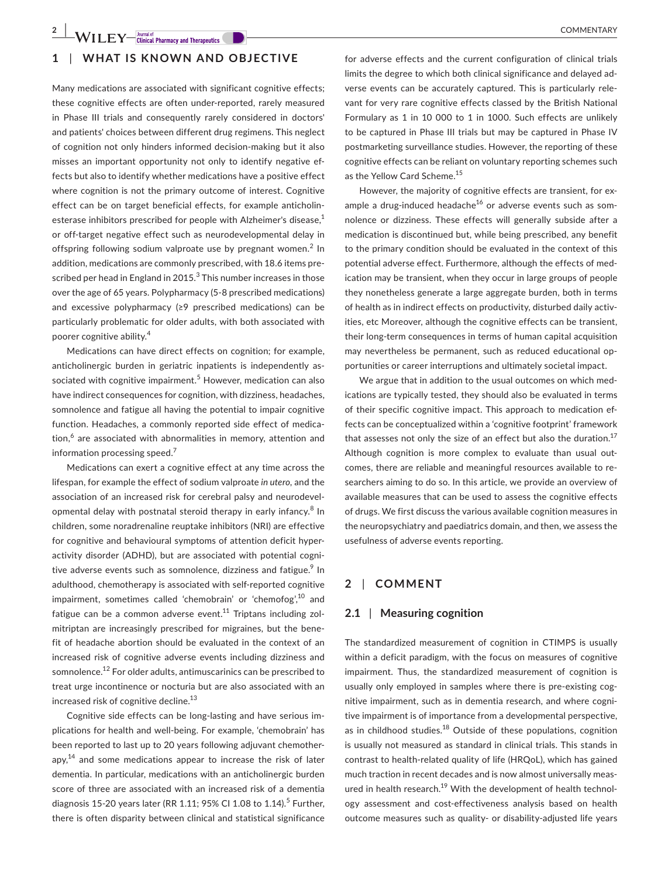## **1** | **WHAT IS KNOWN AND OBJECTIVE**

Many medications are associated with significant cognitive effects; these cognitive effects are often under-reported, rarely measured in Phase III trials and consequently rarely considered in doctors' and patients' choices between different drug regimens. This neglect of cognition not only hinders informed decision-making but it also misses an important opportunity not only to identify negative effects but also to identify whether medications have a positive effect where cognition is not the primary outcome of interest. Cognitive

effect can be on target beneficial effects, for example anticholinesterase inhibitors prescribed for people with Alzheimer's disease,<sup>1</sup> or off-target negative effect such as neurodevelopmental delay in offspring following sodium valproate use by pregnant women.<sup>2</sup> In addition, medications are commonly prescribed, with 18.6 items prescribed per head in England in 2015. $^3$  This number increases in those over the age of 65 years. Polypharmacy (5-8 prescribed medications) and excessive polypharmacy (≥9 prescribed medications) can be particularly problematic for older adults, with both associated with poorer cognitive ability.<sup>4</sup>

Medications can have direct effects on cognition; for example, anticholinergic burden in geriatric inpatients is independently associated with cognitive impairment.<sup>5</sup> However, medication can also have indirect consequences for cognition, with dizziness, headaches, somnolence and fatigue all having the potential to impair cognitive function. Headaches, a commonly reported side effect of medication,<sup>6</sup> are associated with abnormalities in memory, attention and information processing speed.<sup>7</sup>

Medications can exert a cognitive effect at any time across the lifespan, for example the effect of sodium valproate *in utero,* and the association of an increased risk for cerebral palsy and neurodevelopmental delay with postnatal steroid therapy in early infancy.<sup>8</sup> In children, some noradrenaline reuptake inhibitors (NRI) are effective for cognitive and behavioural symptoms of attention deficit hyperactivity disorder (ADHD), but are associated with potential cognitive adverse events such as somnolence, dizziness and fatigue.<sup>9</sup> In adulthood, chemotherapy is associated with self-reported cognitive impairment, sometimes called 'chemobrain' or 'chemofog',<sup>10</sup> and fatigue can be a common adverse event.<sup>11</sup> Triptans including zolmitriptan are increasingly prescribed for migraines, but the benefit of headache abortion should be evaluated in the context of an increased risk of cognitive adverse events including dizziness and somnolence.12 For older adults, antimuscarinics can be prescribed to treat urge incontinence or nocturia but are also associated with an increased risk of cognitive decline.<sup>13</sup>

Cognitive side effects can be long-lasting and have serious implications for health and well-being. For example, 'chemobrain' has been reported to last up to 20 years following adjuvant chemotherapy, $14$  and some medications appear to increase the risk of later dementia. In particular, medications with an anticholinergic burden score of three are associated with an increased risk of a dementia diagnosis 15-20 years later (RR 1.11; 95% CI 1.08 to 1.14).<sup>5</sup> Further, there is often disparity between clinical and statistical significance

for adverse effects and the current configuration of clinical trials limits the degree to which both clinical significance and delayed adverse events can be accurately captured. This is particularly relevant for very rare cognitive effects classed by the British National Formulary as 1 in 10 000 to 1 in 1000. Such effects are unlikely to be captured in Phase III trials but may be captured in Phase IV postmarketing surveillance studies. However, the reporting of these cognitive effects can be reliant on voluntary reporting schemes such as the Yellow Card Scheme.<sup>15</sup>

However, the majority of cognitive effects are transient, for example a drug-induced headache $^{16}$  or adverse events such as somnolence or dizziness. These effects will generally subside after a medication is discontinued but, while being prescribed, any benefit to the primary condition should be evaluated in the context of this potential adverse effect. Furthermore, although the effects of medication may be transient, when they occur in large groups of people they nonetheless generate a large aggregate burden, both in terms of health as in indirect effects on productivity, disturbed daily activities, etc Moreover, although the cognitive effects can be transient, their long-term consequences in terms of human capital acquisition may nevertheless be permanent, such as reduced educational opportunities or career interruptions and ultimately societal impact.

We argue that in addition to the usual outcomes on which medications are typically tested, they should also be evaluated in terms of their specific cognitive impact. This approach to medication effects can be conceptualized within a 'cognitive footprint' framework that assesses not only the size of an effect but also the duration. $17$ Although cognition is more complex to evaluate than usual outcomes, there are reliable and meaningful resources available to researchers aiming to do so. In this article, we provide an overview of available measures that can be used to assess the cognitive effects of drugs. We first discuss the various available cognition measures in the neuropsychiatry and paediatrics domain, and then, we assess the usefulness of adverse events reporting.

#### **2** | **COMMENT**

#### **2.1** | **Measuring cognition**

The standardized measurement of cognition in CTIMPS is usually within a deficit paradigm, with the focus on measures of cognitive impairment. Thus, the standardized measurement of cognition is usually only employed in samples where there is pre-existing cognitive impairment, such as in dementia research, and where cognitive impairment is of importance from a developmental perspective, as in childhood studies. $18$  Outside of these populations, cognition is usually not measured as standard in clinical trials. This stands in contrast to health-related quality of life (HRQoL), which has gained much traction in recent decades and is now almost universally measured in health research.<sup>19</sup> With the development of health technology assessment and cost-effectiveness analysis based on health outcome measures such as quality- or disability-adjusted life years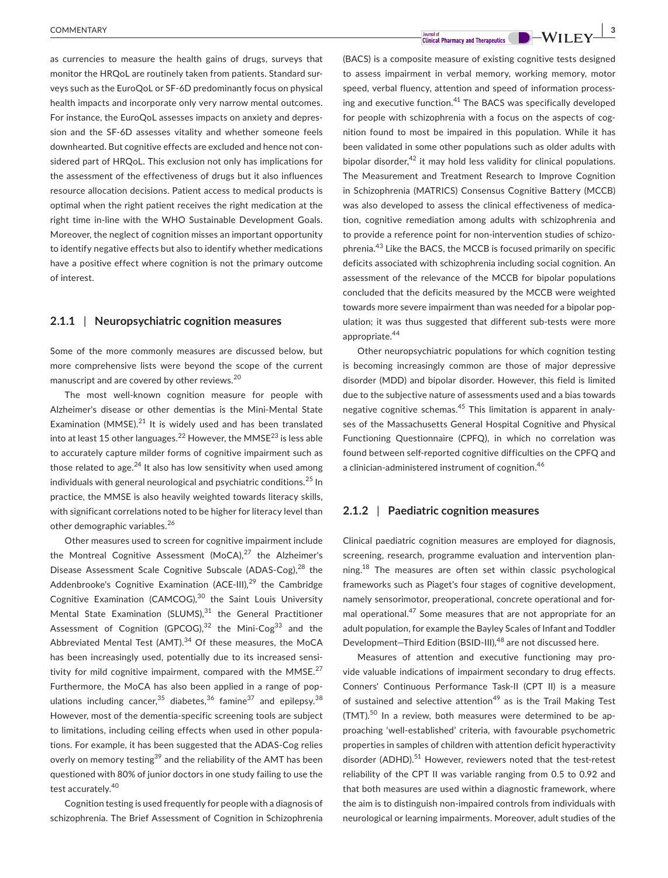as currencies to measure the health gains of drugs, surveys that monitor the HRQoL are routinely taken from patients. Standard surveys such as the EuroQoL or SF-6D predominantly focus on physical health impacts and incorporate only very narrow mental outcomes. For instance, the EuroQoL assesses impacts on anxiety and depression and the SF-6D assesses vitality and whether someone feels downhearted. But cognitive effects are excluded and hence not considered part of HRQoL. This exclusion not only has implications for the assessment of the effectiveness of drugs but it also influences resource allocation decisions. Patient access to medical products is optimal when the right patient receives the right medication at the right time in-line with the WHO Sustainable Development Goals. Moreover, the neglect of cognition misses an important opportunity to identify negative effects but also to identify whether medications have a positive effect where cognition is not the primary outcome of interest.

#### **2.1.1** | **Neuropsychiatric cognition measures**

Some of the more commonly measures are discussed below, but more comprehensive lists were beyond the scope of the current manuscript and are covered by other reviews.<sup>20</sup>

The most well-known cognition measure for people with Alzheimer's disease or other dementias is the Mini-Mental State Examination (MMSE). $^{21}$  It is widely used and has been translated into at least 15 other languages.<sup>22</sup> However, the MMSE<sup>23</sup> is less able to accurately capture milder forms of cognitive impairment such as those related to age. $^{24}$  It also has low sensitivity when used among individuals with general neurological and psychiatric conditions.<sup>25</sup> In practice, the MMSE is also heavily weighted towards literacy skills, with significant correlations noted to be higher for literacy level than other demographic variables.<sup>26</sup>

Other measures used to screen for cognitive impairment include the Montreal Cognitive Assessment (MoCA), $27$  the Alzheimer's Disease Assessment Scale Cognitive Subscale (ADAS-Cog),<sup>28</sup> the Addenbrooke's Cognitive Examination (ACE-III), $29$  the Cambridge Cognitive Examination (CAMCOG),<sup>30</sup> the Saint Louis University Mental State Examination (SLUMS), $31$  the General Practitioner Assessment of Cognition (GPCOG), $32$  the Mini-Cog<sup>33</sup> and the Abbreviated Mental Test (AMT). $34$  Of these measures, the MoCA has been increasingly used, potentially due to its increased sensitivity for mild cognitive impairment, compared with the MMSE. $^{27}$ Furthermore, the MoCA has also been applied in a range of populations including cancer,  $35$  diabetes,  $36$  famine  $37$  and epilepsy.  $38$ However, most of the dementia-specific screening tools are subject to limitations, including ceiling effects when used in other populations. For example, it has been suggested that the ADAS-Cog relies overly on memory testing<sup>39</sup> and the reliability of the AMT has been questioned with 80% of junior doctors in one study failing to use the test accurately.<sup>40</sup>

Cognition testing is used frequently for people with a diagnosis of schizophrenia. The Brief Assessment of Cognition in Schizophrenia

**EXECUTER IN THE SERVE COMMENTARY**<br> **EXECUTER 2 CURRENT CLUBER 2 CURRENT CLUBER 2 CURRENT CLUBER 2 CURRENT CLUBER 2 CURRENT CLUBER 2 D**  $\rightarrow$  **WILEY** 

(BACS) is a composite measure of existing cognitive tests designed to assess impairment in verbal memory, working memory, motor speed, verbal fluency, attention and speed of information processing and executive function. $41$  The BACS was specifically developed for people with schizophrenia with a focus on the aspects of cognition found to most be impaired in this population. While it has been validated in some other populations such as older adults with bipolar disorder,  $42$  it may hold less validity for clinical populations. The Measurement and Treatment Research to Improve Cognition in Schizophrenia (MATRICS) Consensus Cognitive Battery (MCCB) was also developed to assess the clinical effectiveness of medication, cognitive remediation among adults with schizophrenia and to provide a reference point for non-intervention studies of schizophrenia.43 Like the BACS, the MCCB is focused primarily on specific deficits associated with schizophrenia including social cognition. An assessment of the relevance of the MCCB for bipolar populations concluded that the deficits measured by the MCCB were weighted towards more severe impairment than was needed for a bipolar population; it was thus suggested that different sub-tests were more appropriate.<sup>44</sup>

Other neuropsychiatric populations for which cognition testing is becoming increasingly common are those of major depressive disorder (MDD) and bipolar disorder. However, this field is limited due to the subjective nature of assessments used and a bias towards negative cognitive schemas.<sup>45</sup> This limitation is apparent in analyses of the Massachusetts General Hospital Cognitive and Physical Functioning Questionnaire (CPFQ), in which no correlation was found between self-reported cognitive difficulties on the CPFQ and a clinician-administered instrument of cognition.<sup>46</sup>

#### **2.1.2** | **Paediatric cognition measures**

Clinical paediatric cognition measures are employed for diagnosis, screening, research, programme evaluation and intervention planning.<sup>18</sup> The measures are often set within classic psychological frameworks such as Piaget's four stages of cognitive development, namely sensorimotor, preoperational, concrete operational and formal operational.<sup>47</sup> Some measures that are not appropriate for an adult population, for example the Bayley Scales of Infant and Toddler Development-Third Edition (BSID-III),<sup>48</sup> are not discussed here.

Measures of attention and executive functioning may provide valuable indications of impairment secondary to drug effects. Conners' Continuous Performance Task-II (CPT II) is a measure of sustained and selective attention<sup>49</sup> as is the Trail Making Test (TMT).<sup>50</sup> In a review, both measures were determined to be approaching 'well-established' criteria, with favourable psychometric properties in samples of children with attention deficit hyperactivity disorder (ADHD).<sup>51</sup> However, reviewers noted that the test-retest reliability of the CPT II was variable ranging from 0.5 to 0.92 and that both measures are used within a diagnostic framework, where the aim is to distinguish non-impaired controls from individuals with neurological or learning impairments. Moreover, adult studies of the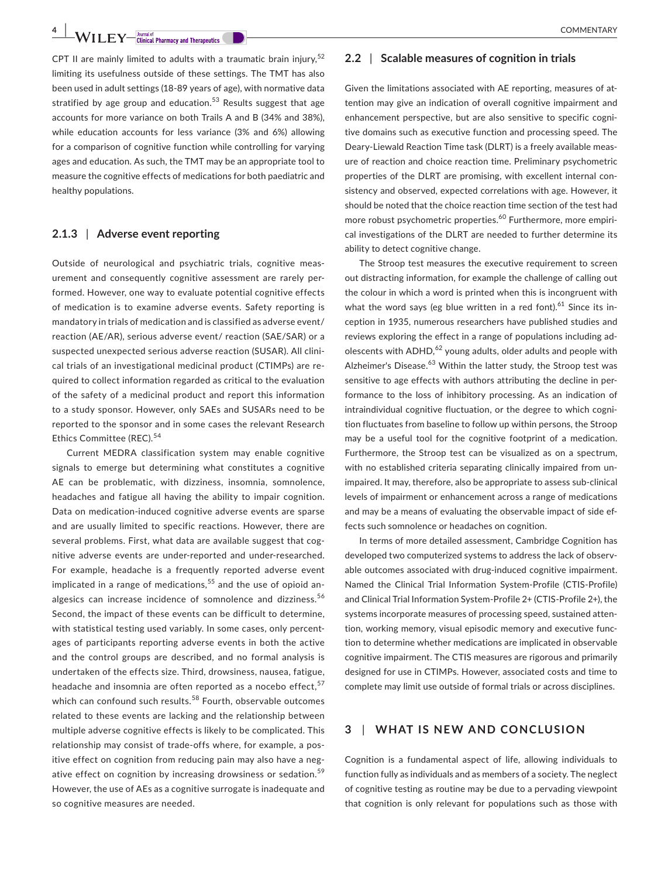CPT II are mainly limited to adults with a traumatic brain injury.<sup>52</sup> limiting its usefulness outside of these settings. The TMT has also been used in adult settings (18-89 years of age), with normative data stratified by age group and education.<sup>53</sup> Results suggest that age accounts for more variance on both Trails A and B (34% and 38%), while education accounts for less variance (3% and 6%) allowing for a comparison of cognitive function while controlling for varying ages and education. As such, the TMT may be an appropriate tool to measure the cognitive effects of medications for both paediatric and healthy populations.

#### **2.1.3** | **Adverse event reporting**

Outside of neurological and psychiatric trials, cognitive measurement and consequently cognitive assessment are rarely performed. However, one way to evaluate potential cognitive effects of medication is to examine adverse events. Safety reporting is mandatory in trials of medication and is classified as adverse event/ reaction (AE/AR), serious adverse event/ reaction (SAE/SAR) or a suspected unexpected serious adverse reaction (SUSAR). All clinical trials of an investigational medicinal product (CTIMPs) are required to collect information regarded as critical to the evaluation of the safety of a medicinal product and report this information to a study sponsor. However, only SAEs and SUSARs need to be reported to the sponsor and in some cases the relevant Research Ethics Committee (REC).<sup>54</sup>

Current MEDRA classification system may enable cognitive signals to emerge but determining what constitutes a cognitive AE can be problematic, with dizziness, insomnia, somnolence, headaches and fatigue all having the ability to impair cognition. Data on medication-induced cognitive adverse events are sparse and are usually limited to specific reactions. However, there are several problems. First, what data are available suggest that cognitive adverse events are under-reported and under-researched. For example, headache is a frequently reported adverse event implicated in a range of medications, $55$  and the use of opioid analgesics can increase incidence of somnolence and dizziness.<sup>56</sup> Second, the impact of these events can be difficult to determine, with statistical testing used variably. In some cases, only percentages of participants reporting adverse events in both the active and the control groups are described, and no formal analysis is undertaken of the effects size. Third, drowsiness, nausea, fatigue, headache and insomnia are often reported as a nocebo effect,  $57$ which can confound such results.<sup>58</sup> Fourth, observable outcomes related to these events are lacking and the relationship between multiple adverse cognitive effects is likely to be complicated. This relationship may consist of trade-offs where, for example, a positive effect on cognition from reducing pain may also have a negative effect on cognition by increasing drowsiness or sedation.<sup>59</sup> However, the use of AEs as a cognitive surrogate is inadequate and so cognitive measures are needed.

#### **2.2** | **Scalable measures of cognition in trials**

Given the limitations associated with AE reporting, measures of attention may give an indication of overall cognitive impairment and enhancement perspective, but are also sensitive to specific cognitive domains such as executive function and processing speed. The Deary-Liewald Reaction Time task (DLRT) is a freely available measure of reaction and choice reaction time. Preliminary psychometric properties of the DLRT are promising, with excellent internal consistency and observed, expected correlations with age. However, it should be noted that the choice reaction time section of the test had more robust psychometric properties.<sup>60</sup> Furthermore, more empirical investigations of the DLRT are needed to further determine its ability to detect cognitive change.

The Stroop test measures the executive requirement to screen out distracting information, for example the challenge of calling out the colour in which a word is printed when this is incongruent with what the word says (eg blue written in a red font).<sup>61</sup> Since its inception in 1935, numerous researchers have published studies and reviews exploring the effect in a range of populations including adolescents with  $ADHD<sub>1</sub><sup>62</sup>$  young adults, older adults and people with Alzheimer's Disease.<sup>63</sup> Within the latter study, the Stroop test was sensitive to age effects with authors attributing the decline in performance to the loss of inhibitory processing. As an indication of intraindividual cognitive fluctuation, or the degree to which cognition fluctuates from baseline to follow up within persons, the Stroop may be a useful tool for the cognitive footprint of a medication. Furthermore, the Stroop test can be visualized as on a spectrum, with no established criteria separating clinically impaired from unimpaired. It may, therefore, also be appropriate to assess sub-clinical levels of impairment or enhancement across a range of medications and may be a means of evaluating the observable impact of side effects such somnolence or headaches on cognition.

In terms of more detailed assessment, Cambridge Cognition has developed two computerized systems to address the lack of observable outcomes associated with drug-induced cognitive impairment. Named the Clinical Trial Information System-Profile (CTIS-Profile) and Clinical Trial Information System-Profile 2+ (CTIS-Profile 2+), the systems incorporate measures of processing speed, sustained attention, working memory, visual episodic memory and executive function to determine whether medications are implicated in observable cognitive impairment. The CTIS measures are rigorous and primarily designed for use in CTIMPs. However, associated costs and time to complete may limit use outside of formal trials or across disciplines.

## **3** | **WHAT IS NEW AND CONCLUSION**

Cognition is a fundamental aspect of life, allowing individuals to function fully as individuals and as members of a society. The neglect of cognitive testing as routine may be due to a pervading viewpoint that cognition is only relevant for populations such as those with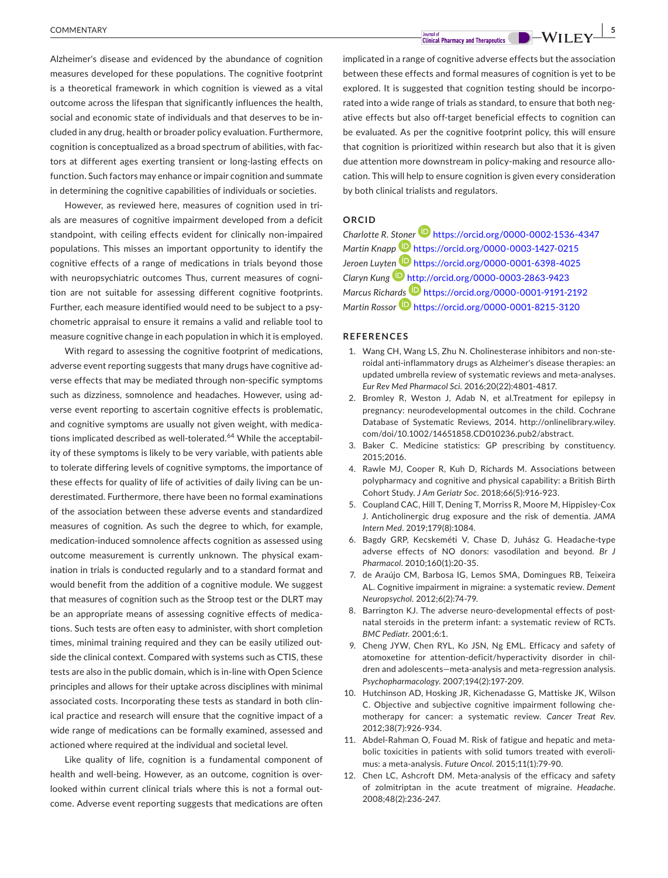Alzheimer's disease and evidenced by the abundance of cognition measures developed for these populations. The cognitive footprint is a theoretical framework in which cognition is viewed as a vital outcome across the lifespan that significantly influences the health, social and economic state of individuals and that deserves to be included in any drug, health or broader policy evaluation. Furthermore, cognition is conceptualized as a broad spectrum of abilities, with factors at different ages exerting transient or long-lasting effects on function. Such factors may enhance or impair cognition and summate in determining the cognitive capabilities of individuals or societies.

However, as reviewed here, measures of cognition used in trials are measures of cognitive impairment developed from a deficit standpoint, with ceiling effects evident for clinically non-impaired populations. This misses an important opportunity to identify the cognitive effects of a range of medications in trials beyond those with neuropsychiatric outcomes Thus, current measures of cognition are not suitable for assessing different cognitive footprints. Further, each measure identified would need to be subject to a psychometric appraisal to ensure it remains a valid and reliable tool to measure cognitive change in each population in which it is employed.

With regard to assessing the cognitive footprint of medications, adverse event reporting suggests that many drugs have cognitive adverse effects that may be mediated through non-specific symptoms such as dizziness, somnolence and headaches. However, using adverse event reporting to ascertain cognitive effects is problematic, and cognitive symptoms are usually not given weight, with medications implicated described as well-tolerated.<sup>64</sup> While the acceptability of these symptoms is likely to be very variable, with patients able to tolerate differing levels of cognitive symptoms, the importance of these effects for quality of life of activities of daily living can be underestimated. Furthermore, there have been no formal examinations of the association between these adverse events and standardized measures of cognition. As such the degree to which, for example, medication-induced somnolence affects cognition as assessed using outcome measurement is currently unknown. The physical examination in trials is conducted regularly and to a standard format and would benefit from the addition of a cognitive module. We suggest that measures of cognition such as the Stroop test or the DLRT may be an appropriate means of assessing cognitive effects of medications. Such tests are often easy to administer, with short completion times, minimal training required and they can be easily utilized outside the clinical context. Compared with systems such as CTIS, these tests are also in the public domain, which is in-line with Open Science principles and allows for their uptake across disciplines with minimal associated costs. Incorporating these tests as standard in both clinical practice and research will ensure that the cognitive impact of a wide range of medications can be formally examined, assessed and actioned where required at the individual and societal level.

Like quality of life, cognition is a fundamental component of health and well-being. However, as an outcome, cognition is overlooked within current clinical trials where this is not a formal outcome. Adverse event reporting suggests that medications are often

implicated in a range of cognitive adverse effects but the association between these effects and formal measures of cognition is yet to be explored. It is suggested that cognition testing should be incorporated into a wide range of trials as standard, to ensure that both negative effects but also off-target beneficial effects to cognition can be evaluated. As per the cognitive footprint policy, this will ensure that cognition is prioritized within research but also that it is given due attention more downstream in policy-making and resource allocation. This will help to ensure cognition is given every consideration by both clinical trialists and regulators.

#### **ORCID**

*Charlotte R. S[toner](https://orcid.org/0000-0003-1427-0215)* <https://orcid.org/0000-0002-1536-4347> *Martin Knapp* <https://orcid.org/0000-0003-1427-0215> *Jeroen Luyt[en](http://orcid.org/0000-0003-2863-9423)* <https://orcid.org/0000-0001-6398-4025> *Claryn Kung* <http://orcid.org/0000-0003-2863-9423> *Marcus Richa[rds](https://orcid.org/0000-0001-8215-3120)* <https://orcid.org/0000-0001-9191-2192> *Martin Rossor* **D** <https://orcid.org/0000-0001-8215-3120>

#### **REFERENCES**

- 1. Wang CH, Wang LS, Zhu N. Cholinesterase inhibitors and non-steroidal anti-inflammatory drugs as Alzheimer's disease therapies: an updated umbrella review of systematic reviews and meta-analyses. *Eur Rev Med Pharmacol Sci*. 2016;20(22):4801-4817.
- 2. Bromley R, Weston J, Adab N, et al.Treatment for epilepsy in pregnancy: neurodevelopmental outcomes in the child. Cochrane Database of Systematic Reviews, 2014. [http://onlinelibrary.wiley.](http://onlinelibrary.wiley.com/doi/10.1002/14651858.CD010236.pub2/abstract) [com/doi/10.1002/14651858.CD010236.pub2/abstract.](http://onlinelibrary.wiley.com/doi/10.1002/14651858.CD010236.pub2/abstract)
- 3. Baker C. Medicine statistics: GP prescribing by constituency. 2015;2016.
- 4. Rawle MJ, Cooper R, Kuh D, Richards M. Associations between polypharmacy and cognitive and physical capability: a British Birth Cohort Study. *J Am Geriatr Soc*. 2018;66(5):916-923.
- 5. Coupland CAC, Hill T, Dening T, Morriss R, Moore M, Hippisley-Cox J. Anticholinergic drug exposure and the risk of dementia. *JAMA Intern Med*. 2019;179(8):1084.
- 6. Bagdy GRP, Kecskeméti V, Chase D, Juhász G. Headache-type adverse effects of NO donors: vasodilation and beyond. *Br J Pharmacol*. 2010;160(1):20-35.
- 7. de Araújo CM, Barbosa IG, Lemos SMA, Domingues RB, Teixeira AL. Cognitive impairment in migraine: a systematic review. *Dement Neuropsychol*. 2012;6(2):74-79.
- 8. Barrington KJ. The adverse neuro-developmental effects of postnatal steroids in the preterm infant: a systematic review of RCTs. *BMC Pediatr*. 2001;6:1.
- 9. Cheng JYW, Chen RYL, Ko JSN, Ng EML. Efficacy and safety of atomoxetine for attention-deficit/hyperactivity disorder in children and adolescents—meta-analysis and meta-regression analysis. *Psychopharmacology*. 2007;194(2):197-209.
- 10. Hutchinson AD, Hosking JR, Kichenadasse G, Mattiske JK, Wilson C. Objective and subjective cognitive impairment following chemotherapy for cancer: a systematic review. *Cancer Treat Rev*. 2012;38(7):926-934.
- 11. Abdel-Rahman O, Fouad M. Risk of fatigue and hepatic and metabolic toxicities in patients with solid tumors treated with everolimus: a meta-analysis. *Future Oncol*. 2015;11(1):79-90.
- 12. Chen LC, Ashcroft DM. Meta-analysis of the efficacy and safety of zolmitriptan in the acute treatment of migraine. *Headache*. 2008;48(2):236-247.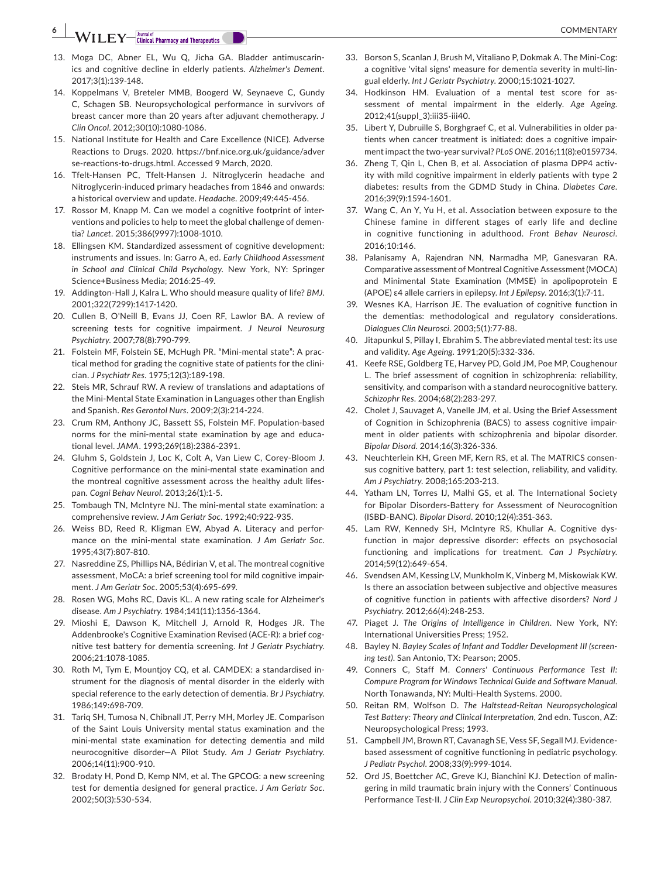## **EXAGE A**  $\overline{\text{COMMENTARY}}}$  **Example of Picturical Pharmacy and Therapeutics**

- 13. Moga DC, Abner EL, Wu Q, Jicha GA. Bladder antimuscarinics and cognitive decline in elderly patients. *Alzheimer's Dement*. 2017;3(1):139-148.
- 14. Koppelmans V, Breteler MMB, Boogerd W, Seynaeve C, Gundy C, Schagen SB. Neuropsychological performance in survivors of breast cancer more than 20 years after adjuvant chemotherapy. *J Clin Oncol*. 2012;30(10):1080-1086.
- 15. National Institute for Health and Care Excellence (NICE). Adverse Reactions to Drugs. 2020. [https://bnf.nice.org.uk/guidance/adver](https://bnf.nice.org.uk/guidance/adverse-reactions-to-drugs.html) [se-reactions-to-drugs.html.](https://bnf.nice.org.uk/guidance/adverse-reactions-to-drugs.html) Accessed 9 March, 2020.
- 16. Tfelt-Hansen PC, Tfelt-Hansen J. Nitroglycerin headache and Nitroglycerin-induced primary headaches from 1846 and onwards: a historical overview and update. *Headache*. 2009;49:445-456.
- 17. Rossor M, Knapp M. Can we model a cognitive footprint of interventions and policies to help to meet the global challenge of dementia? *Lancet*. 2015;386(9997):1008-1010.
- 18. Ellingsen KM. Standardized assessment of cognitive development: instruments and issues. In: Garro A, ed. *Early Childhood Assessment in School and Clinical Child Psychology*. New York, NY: Springer Science+Business Media; 2016:25-49.
- 19. Addington-Hall J, Kalra L. Who should measure quality of life? *BMJ*. 2001;322(7299):1417-1420.
- 20. Cullen B, O'Neill B, Evans JJ, Coen RF, Lawlor BA. A review of screening tests for cognitive impairment. *J Neurol Neurosurg Psychiatry*. 2007;78(8):790-799.
- 21. Folstein MF, Folstein SE, McHugh PR. "Mini-mental state": A practical method for grading the cognitive state of patients for the clinician. *J Psychiatr Res*. 1975;12(3):189-198.
- 22. Steis MR, Schrauf RW. A review of translations and adaptations of the Mini-Mental State Examination in Languages other than English and Spanish. *Res Gerontol Nurs*. 2009;2(3):214-224.
- 23. Crum RM, Anthony JC, Bassett SS, Folstein MF. Population-based norms for the mini-mental state examination by age and educational level. *JAMA*. 1993;269(18):2386-2391.
- 24. Gluhm S, Goldstein J, Loc K, Colt A, Van Liew C, Corey-Bloom J. Cognitive performance on the mini-mental state examination and the montreal cognitive assessment across the healthy adult lifespan. *Cogni Behav Neurol*. 2013;26(1):1-5.
- 25. Tombaugh TN, McIntyre NJ. The mini-mental state examination: a comprehensive review. *J Am Geriatr Soc*. 1992;40:922-935.
- 26. Weiss BD, Reed R, Kligman EW, Abyad A. Literacy and performance on the mini-mental state examination. *J Am Geriatr Soc*. 1995;43(7):807-810.
- 27. Nasreddine ZS, Phillips NA, Bédirian V, et al. The montreal cognitive assessment, MoCA: a brief screening tool for mild cognitive impairment. *J Am Geriatr Soc*. 2005;53(4):695-699.
- 28. Rosen WG, Mohs RC, Davis KL. A new rating scale for Alzheimer's disease. *Am J Psychiatry*. 1984;141(11):1356-1364.
- 29. Mioshi E, Dawson K, Mitchell J, Arnold R, Hodges JR. The Addenbrooke's Cognitive Examination Revised (ACE-R): a brief cognitive test battery for dementia screening. *Int J Geriatr Psychiatry*. 2006;21:1078-1085.
- 30. Roth M, Tym E, Mountjoy CQ, et al. CAMDEX: a standardised instrument for the diagnosis of mental disorder in the elderly with special reference to the early detection of dementia. *Br J Psychiatry*. 1986;149:698-709.
- 31. Tariq SH, Tumosa N, Chibnall JT, Perry MH, Morley JE. Comparison of the Saint Louis University mental status examination and the mini-mental state examination for detecting dementia and mild neurocognitive disorder—A Pilot Study. *Am J Geriatr Psychiatry*. 2006;14(11):900-910.
- 32. Brodaty H, Pond D, Kemp NM, et al. The GPCOG: a new screening test for dementia designed for general practice. *J Am Geriatr Soc*. 2002;50(3):530-534.
- 33. Borson S, Scanlan J, Brush M, Vitaliano P, Dokmak A. The Mini-Cog: a cognitive 'vital signs' measure for dementia severity in multi-lingual elderly. *Int J Geriatr Psychiatry*. 2000;15:1021-1027.
- 34. Hodkinson HM. Evaluation of a mental test score for assessment of mental impairment in the elderly. *Age Ageing*. 2012;41(suppl\_3):iii35-iii40.
- 35. Libert Y, Dubruille S, Borghgraef C, et al. Vulnerabilities in older patients when cancer treatment is initiated: does a cognitive impairment impact the two-year survival? *PLoS ONE*. 2016;11(8):e0159734.
- 36. Zheng T, Qin L, Chen B, et al. Association of plasma DPP4 activity with mild cognitive impairment in elderly patients with type 2 diabetes: results from the GDMD Study in China. *Diabetes Care*. 2016;39(9):1594-1601.
- 37. Wang C, An Y, Yu H, et al. Association between exposure to the Chinese famine in different stages of early life and decline in cognitive functioning in adulthood. *Front Behav Neurosci*. 2016;10:146.
- 38. Palanisamy A, Rajendran NN, Narmadha MP, Ganesvaran RA. Comparative assessment of Montreal Cognitive Assessment (MOCA) and Minimental State Examination (MMSE) in apolipoprotein E (APOE) ɛ4 allele carriers in epilepsy. *Int J Epilepsy*. 2016;3(1):7-11.
- 39. Wesnes KA, Harrison JE. The evaluation of cognitive function in the dementias: methodological and regulatory considerations. *Dialogues Clin Neurosci*. 2003;5(1):77-88.
- 40. Jitapunkul S, Pillay I, Ebrahim S. The abbreviated mental test: its use and validity. *Age Ageing*. 1991;20(5):332-336.
- 41. Keefe RSE, Goldberg TE, Harvey PD, Gold JM, Poe MP, Coughenour L. The brief assessment of cognition in schizophrenia: reliability, sensitivity, and comparison with a standard neurocognitive battery. *Schizophr Res*. 2004;68(2):283-297.
- 42. Cholet J, Sauvaget A, Vanelle JM, et al. Using the Brief Assessment of Cognition in Schizophrenia (BACS) to assess cognitive impairment in older patients with schizophrenia and bipolar disorder. *Bipolar Disord*. 2014;16(3):326-336.
- 43. Neuchterlein KH, Green MF, Kern RS, et al. The MATRICS consensus cognitive battery, part 1: test selection, reliability, and validity. *Am J Psychiatry*. 2008;165:203-213.
- 44. Yatham LN, Torres IJ, Malhi GS, et al. The International Society for Bipolar Disorders-Battery for Assessment of Neurocognition (ISBD-BANC). *Bipolar Disord*. 2010;12(4):351-363.
- 45. Lam RW, Kennedy SH, McIntyre RS, Khullar A. Cognitive dysfunction in major depressive disorder: effects on psychosocial functioning and implications for treatment. *Can J Psychiatry*. 2014;59(12):649-654.
- 46. Svendsen AM, Kessing LV, Munkholm K, Vinberg M, Miskowiak KW. Is there an association between subjective and objective measures of cognitive function in patients with affective disorders? *Nord J Psychiatry*. 2012;66(4):248-253.
- 47. Piaget J. *The Origins of Intelligence in Children*. New York, NY: International Universities Press; 1952.
- 48. Bayley N. *Bayley Scales of Infant and Toddler Development III (screening test)*. San Antonio, TX: Pearson; 2005.
- 49. Conners C, Staff M. *Conners' Continuous Performance Test II: Compure Program for Windows Technical Guide and Software Manual*. North Tonawanda, NY: Multi-Health Systems. 2000.
- 50. Reitan RM, Wolfson D. *The Haltstead-Reitan Neuropsychological Test Battery: Theory and Clinical Interpretation*, 2nd edn. Tuscon, AZ: Neuropsychological Press; 1993.
- 51. Campbell JM, Brown RT, Cavanagh SE, Vess SF, Segall MJ. Evidencebased assessment of cognitive functioning in pediatric psychology. *J Pediatr Psychol*. 2008;33(9):999-1014.
- 52. Ord JS, Boettcher AC, Greve KJ, Bianchini KJ. Detection of malingering in mild traumatic brain injury with the Conners' Continuous Performance Test-II. *J Clin Exp Neuropsychol*. 2010;32(4):380-387.